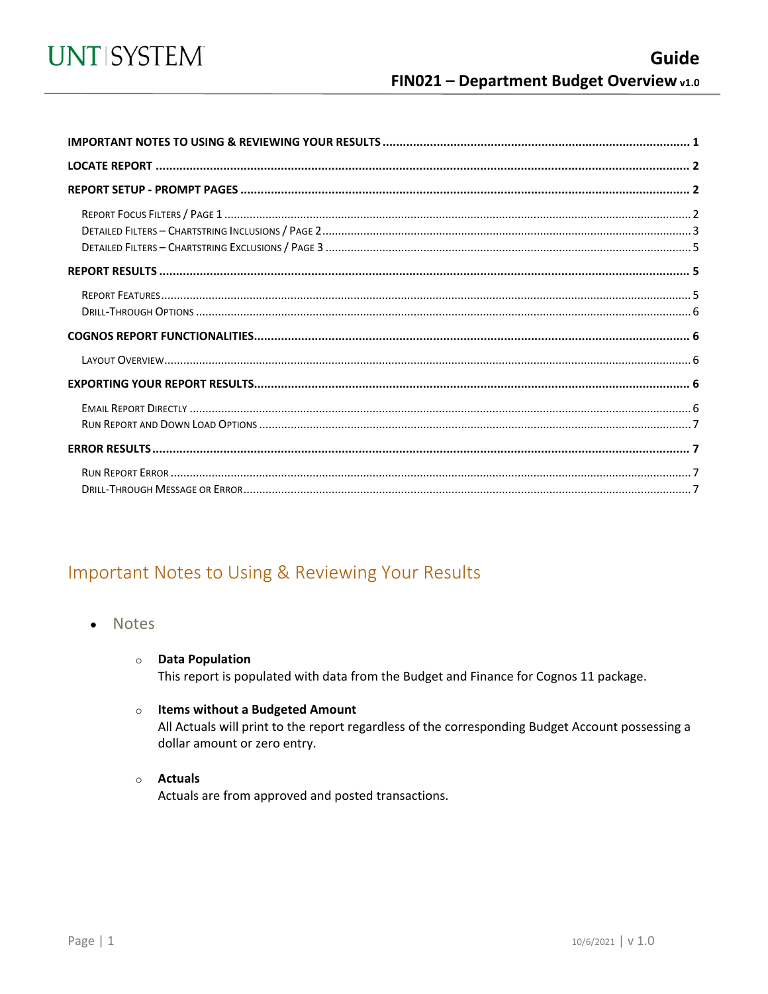<span id="page-0-0"></span>

## Important Notes to Using & Reviewing Your Results

- **Notes**  $\bullet$ 
	- **O** Data Population

This report is populated with data from the Budget and Finance for Cognos 11 package.

#### o Items without a Budgeted Amount

All Actuals will print to the report regardless of the corresponding Budget Account possessing a dollar amount or zero entry.

#### o Actuals

Actuals are from approved and posted transactions.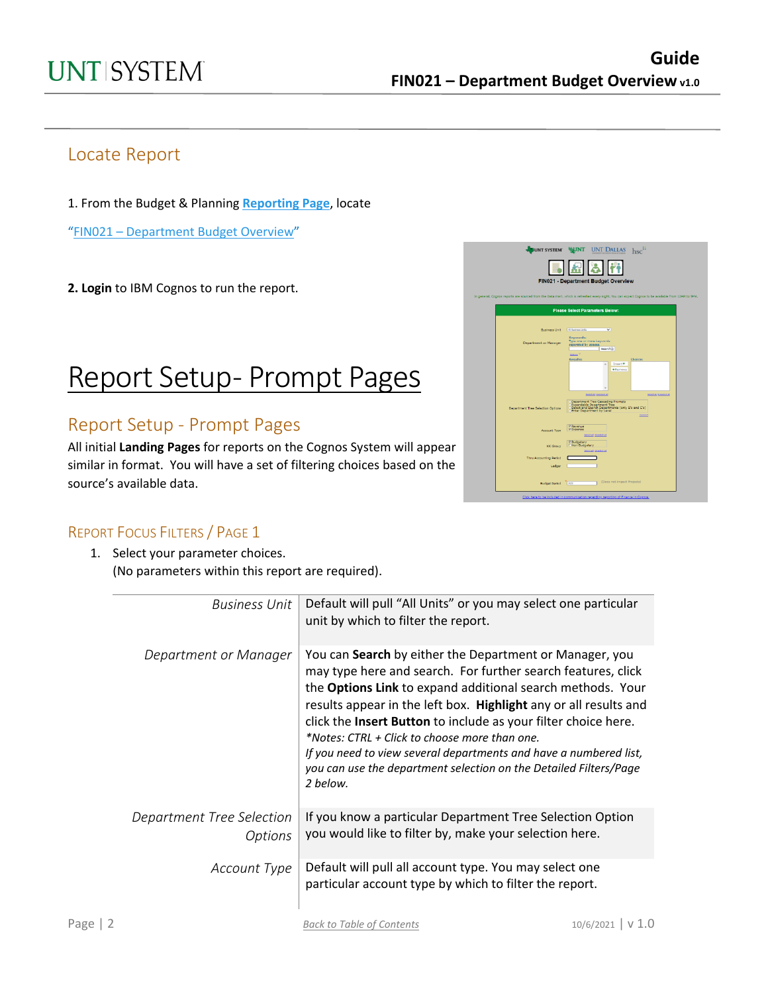## Locate Report

1. From the Budget & Planning **[Reporting Page](https://finance.untsystem.edu/reporting)**, locate

"FIN021 – [Department Budget Overview"](https://cognospd.admin.unt.edu/bi/?pathRef=.public_folders%2FBudget%2Band%2BFinance%2BBasic%2BReports%2FFIN021%2B-%2BDepartment%2BBudget%2BOverview)

**2. Login** to IBM Cognos to run the report.

## Report Setup- Prompt Pages

### Report Setup - Prompt Pages

All initial **Landing Pages** for reports on the Cognos System will appear similar in format. You will have a set of filtering choices based on the source's available data.



### REPORT FOCUS FILTERS / PAGE 1

 $\overline{\phantom{0}}$ 

1. Select your parameter choices. (No parameters within this report are required).

| <b>Business Unit</b>                        | Default will pull "All Units" or you may select one particular<br>unit by which to filter the report.                                                                                                                                                                                                                                                                                                                                                                                                                              |
|---------------------------------------------|------------------------------------------------------------------------------------------------------------------------------------------------------------------------------------------------------------------------------------------------------------------------------------------------------------------------------------------------------------------------------------------------------------------------------------------------------------------------------------------------------------------------------------|
| Department or Manager                       | You can Search by either the Department or Manager, you<br>may type here and search. For further search features, click<br>the Options Link to expand additional search methods. Your<br>results appear in the left box. Highlight any or all results and<br>click the Insert Button to include as your filter choice here.<br>*Notes: CTRL + Click to choose more than one.<br>If you need to view several departments and have a numbered list,<br>you can use the department selection on the Detailed Filters/Page<br>2 below. |
| Department Tree Selection<br><b>Options</b> | If you know a particular Department Tree Selection Option<br>you would like to filter by, make your selection here.                                                                                                                                                                                                                                                                                                                                                                                                                |
| Account Type                                | Default will pull all account type. You may select one<br>particular account type by which to filter the report.                                                                                                                                                                                                                                                                                                                                                                                                                   |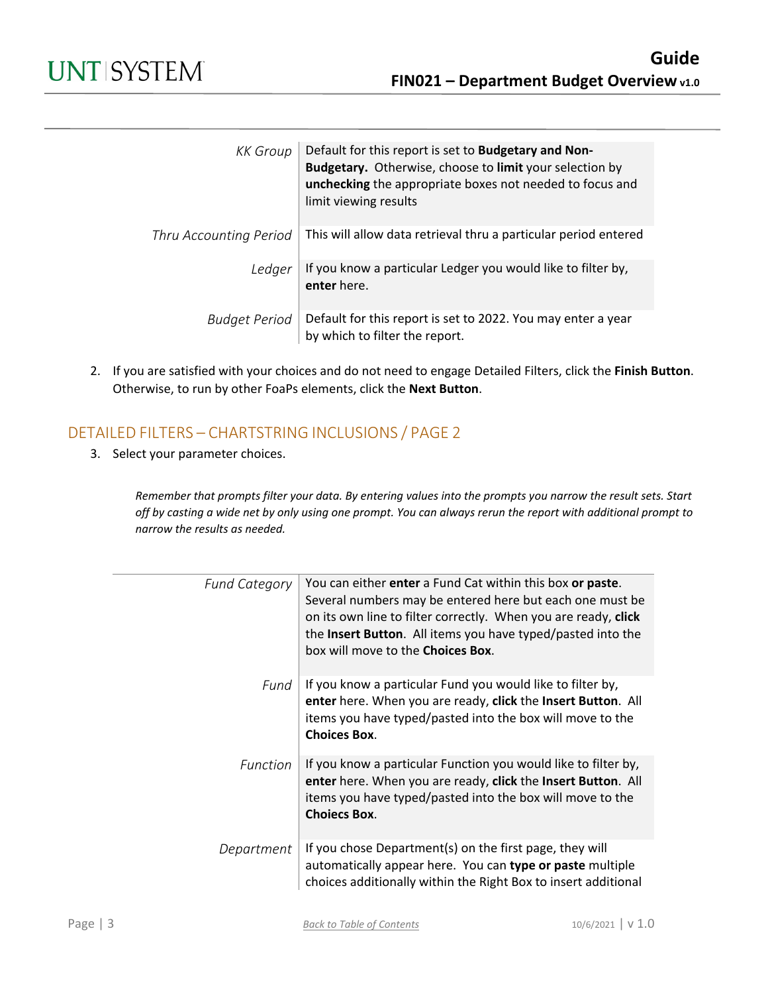| KK Group               | Default for this report is set to Budgetary and Non-<br>Budgetary. Otherwise, choose to limit your selection by<br>unchecking the appropriate boxes not needed to focus and<br>limit viewing results |
|------------------------|------------------------------------------------------------------------------------------------------------------------------------------------------------------------------------------------------|
| Thru Accounting Period | This will allow data retrieval thru a particular period entered                                                                                                                                      |
| Ledger                 | If you know a particular Ledger you would like to filter by,<br>enter here.                                                                                                                          |
| Budget Period          | Default for this report is set to 2022. You may enter a year<br>by which to filter the report.                                                                                                       |

2. If you are satisfied with your choices and do not need to engage Detailed Filters, click the **Finish Button**. Otherwise, to run by other FoaPs elements, click the **Next Button**.

### DETAILED FILTERS – CHARTSTRING INCLUSIONS / PAGE 2

3. Select your parameter choices.

*Remember that prompts filter your data. By entering values into the prompts you narrow the result sets. Start off by casting a wide net by only using one prompt. You can always rerun the report with additional prompt to narrow the results as needed.*

| <b>Fund Category</b> | You can either enter a Fund Cat within this box or paste.<br>Several numbers may be entered here but each one must be<br>on its own line to filter correctly. When you are ready, click<br>the Insert Button. All items you have typed/pasted into the<br>box will move to the <b>Choices Box</b> . |
|----------------------|-----------------------------------------------------------------------------------------------------------------------------------------------------------------------------------------------------------------------------------------------------------------------------------------------------|
| Fund                 | If you know a particular Fund you would like to filter by,<br>enter here. When you are ready, click the Insert Button. All<br>items you have typed/pasted into the box will move to the<br><b>Choices Box.</b>                                                                                      |
| <b>Function</b>      | If you know a particular Function you would like to filter by,<br>enter here. When you are ready, click the Insert Button. All<br>items you have typed/pasted into the box will move to the<br><b>Choiecs Box.</b>                                                                                  |
| Department           | If you chose Department(s) on the first page, they will<br>automatically appear here. You can type or paste multiple<br>choices additionally within the Right Box to insert additional                                                                                                              |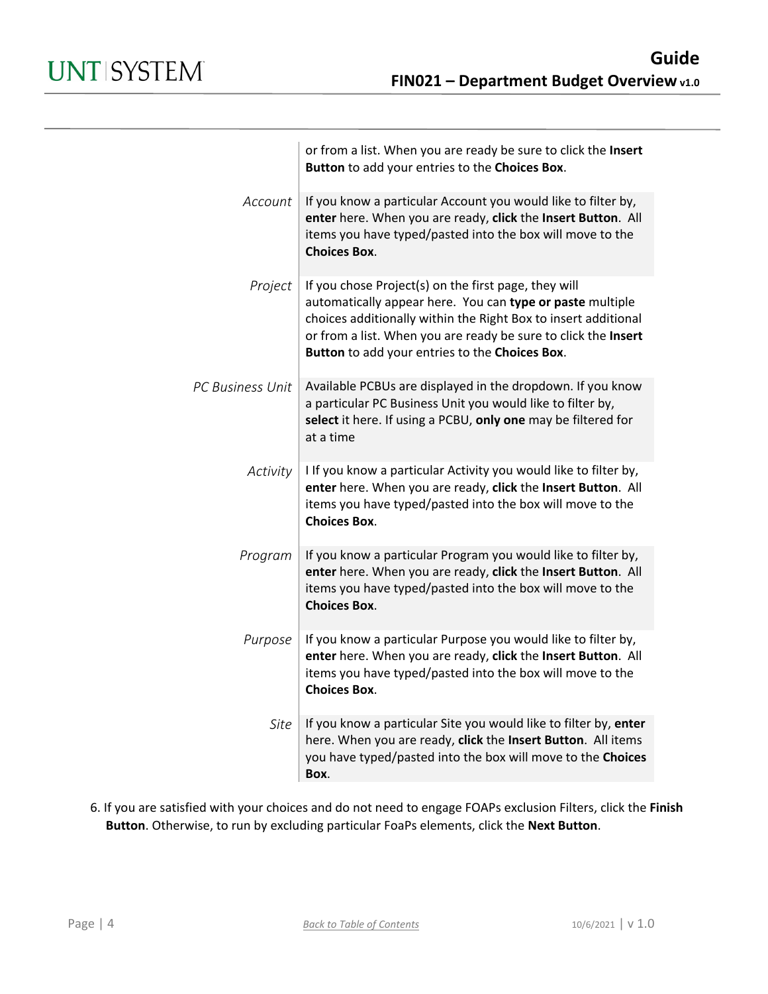|                  | or from a list. When you are ready be sure to click the Insert<br>Button to add your entries to the Choices Box.                                                                                                                                                                                        |
|------------------|---------------------------------------------------------------------------------------------------------------------------------------------------------------------------------------------------------------------------------------------------------------------------------------------------------|
| Account          | If you know a particular Account you would like to filter by,<br>enter here. When you are ready, click the Insert Button. All<br>items you have typed/pasted into the box will move to the<br><b>Choices Box.</b>                                                                                       |
| Project          | If you chose Project(s) on the first page, they will<br>automatically appear here. You can type or paste multiple<br>choices additionally within the Right Box to insert additional<br>or from a list. When you are ready be sure to click the Insert<br>Button to add your entries to the Choices Box. |
| PC Business Unit | Available PCBUs are displayed in the dropdown. If you know<br>a particular PC Business Unit you would like to filter by,<br>select it here. If using a PCBU, only one may be filtered for<br>at a time                                                                                                  |
| Activity         | I If you know a particular Activity you would like to filter by,<br>enter here. When you are ready, click the Insert Button. All<br>items you have typed/pasted into the box will move to the<br><b>Choices Box.</b>                                                                                    |
| Program          | If you know a particular Program you would like to filter by,<br>enter here. When you are ready, click the Insert Button. All<br>items you have typed/pasted into the box will move to the<br><b>Choices Box.</b>                                                                                       |
| Purpose          | If you know a particular Purpose you would like to filter by,<br>enter here. When you are ready, click the Insert Button. All<br>items you have typed/pasted into the box will move to the<br><b>Choices Box.</b>                                                                                       |
| Site             | If you know a particular Site you would like to filter by, enter<br>here. When you are ready, click the Insert Button. All items<br>you have typed/pasted into the box will move to the Choices<br>Box.                                                                                                 |

6. If you are satisfied with your choices and do not need to engage FOAPs exclusion Filters, click the **Finish Button**. Otherwise, to run by excluding particular FoaPs elements, click the **Next Button**.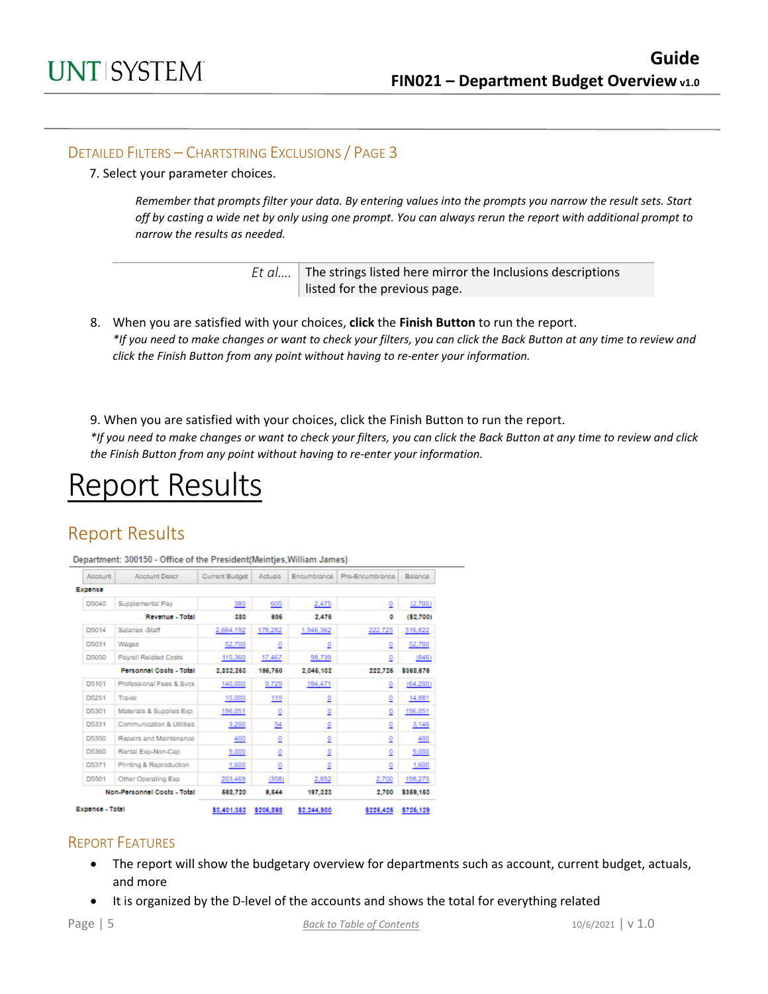#### DETAILED FILTERS – CHARTSTRING EXCLUSIONS / PAGE 3

7. Select your parameter choices.

*Remember that prompts filter your data. By entering values into the prompts you narrow the result sets. Start off by casting a wide net by only using one prompt. You can always rerun the report with additional prompt to narrow the results as needed.*

| Et $a$ The strings listed here mirror the Inclusions descriptions |
|-------------------------------------------------------------------|
| listed for the previous page.                                     |

- 8. When you are satisfied with your choices, **click** the **Finish Button** to run the report. *\*If you need to make changes or want to check your filters, you can click the Back Button at any time to review and click the Finish Button from any point without having to re-enter your information.*
- 9. When you are satisfied with your choices, click the Finish Button to run the report.

*\*If you need to make changes or want to check your filters, you can click the Back Button at any time to review and click the Finish Button from any point without having to re-enter your information.*

## Report Results

## Report Results

Department: 300150 - Office of the President(Meintjes, William James)

| Account         | <b>Account Descr</b>           | Current Budget | <b>Actuals</b> | Encumbrance | Pre-Encumbrance | Balance   |
|-----------------|--------------------------------|----------------|----------------|-------------|-----------------|-----------|
| Expence         |                                |                |                |             |                 |           |
| D5040           | Supplemental Pay               | 380            | 605            | 2,475       | ₫               | (2,700)   |
|                 | Revenue - Total                | 330            | 805            | 2,476       | ٥               | (82,700)  |
| D5014           | Salaries -Staff                | 2,664,192      | 178,282        | 1,946,362   | 222,725         | 316,822   |
| D5031           | Wages                          | 52,700         | ₫              | ₫           | ₫               | 52,700    |
| D5050           | <b>Payroll Related Costs</b>   | 115,360        | 17,467         | 98,739      | ₫               | (B46)     |
|                 | <b>Personnel Costs - Total</b> | 2,832,263      | 186,760        | 2,046,102   | 222,726         | \$388,676 |
| D5101           | Professional Fees & Sycs       | 140,000        | 9,729          | 194,471     | ₫               | (64, 200) |
| D5251           | Travel                         | 15,000         | 119            | ₫           | ₫               | 14,881    |
| D5301           | Materials & Supplies Exp.      | 196,051        | ₫              | ₫           | ₫               | 196,051   |
| D5331           | Communication & Utilities      | 3,200          | <u>54</u>      | ₫           | ₫               | 3,146     |
| D5350           | Repairs and Maintenance        | 400            | ₫              | ₫           | ₫               | 400       |
| D5360           | Rental Exp-Non-Cap             | 9,000          | ₫              | ₫           | ₫               | 9,000     |
| D5371           | Printing & Reproduction        | 1,600          | ₫              | ₫           | ₫               | 1,600     |
| D5501           | Other Operating Exp.           | 203,469        | (358)          | 2,852       | 2,700           | 198,275   |
|                 | Non-Personnel Costs - Total    | 688,720        | 9,644          | 197,323     | 2,700           | \$359,153 |
| Expense - Total |                                | 83,401,352     | \$206,898      | \$2,244,800 | 8226,426        | \$726,129 |

#### REPORT FEATURES

- The report will show the budgetary overview for departments such as account, current budget, actuals, and more
- It is organized by the D-level of the accounts and shows the total for everything related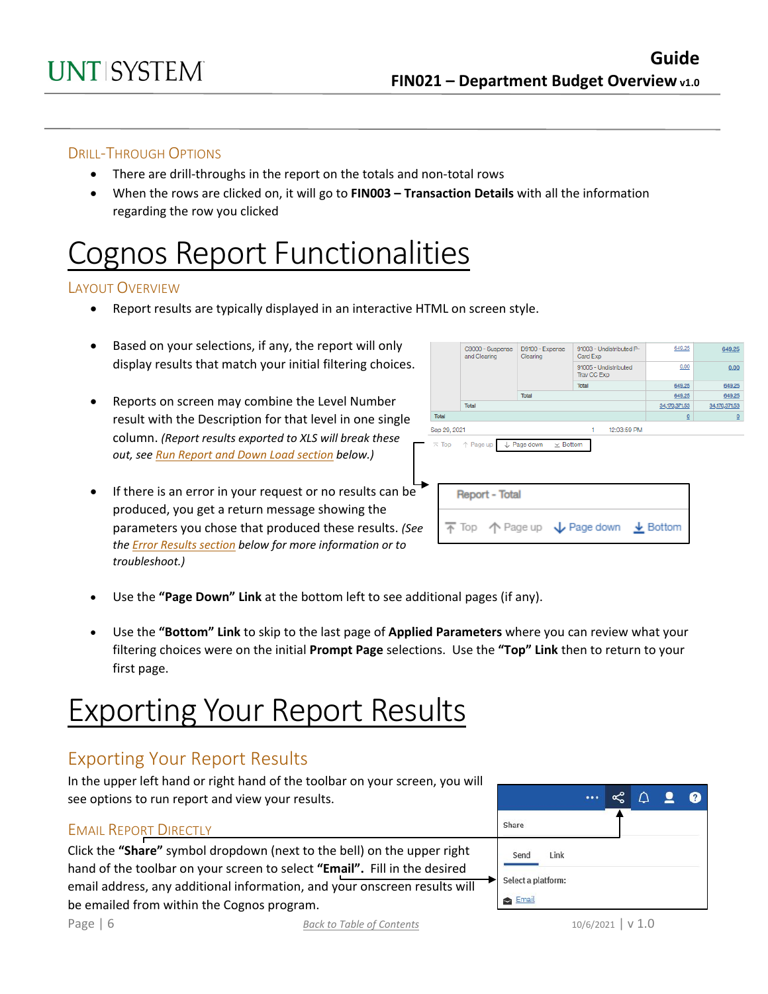#### DRILL-THROUGH OPTIONS

- There are drill-throughs in the report on the totals and non-total rows
- When the rows are clicked on, it will go to **FIN003 – Transaction Details** with all the information regarding the row you clicked

# Cognos Report Functionalities

#### LAYOUT OVERVIEW

- Report results are typically displayed in an interactive HTML on screen style.
- Based on your selections, if any, the report will only display results that match your initial filtering choices.
- Reports on screen may combine the Level Number result with the Description for that level in one single column. *(Report results exported to XLS will break these out, see Run Report and Down Load section below.)*
- If there is an error in your request or no results can be produced, you get a return message showing the parameters you chose that produced these results. *(See th[e Error Results section](#page-6-0) below for more information or to troubleshoot.)*

|              | C9000 - Suspense<br>and Clearing           | D9100 - Expense<br>Clearing                   | 91003 - Undistributed P-<br>Card Exp | 649.25        | 649.25          |
|--------------|--------------------------------------------|-----------------------------------------------|--------------------------------------|---------------|-----------------|
|              |                                            | 91005 - Undistributed<br>Trav CC Exp          | 0.00                                 | 0.00          |                 |
|              |                                            |                                               | Total                                | 649.25        | 649.25          |
|              |                                            | Total                                         |                                      | 649.25        | 649.25          |
|              | Total                                      |                                               |                                      | 34,170,371.53 | 34, 170, 371.53 |
| Total        |                                            |                                               |                                      | $\Omega$      | $\Omega$        |
| Sep 29, 2021 |                                            |                                               | 12:03:59 PM<br>1                     |               |                 |
|              | $\overline{\wedge}$ Top $\uparrow$ Page up | $\mathbf{v}$ Bottom<br>$\downarrow$ Page down |                                      |               |                 |
|              | <b>Report - Total</b>                      |                                               |                                      |               |                 |
|              |                                            |                                               | 〒 Top 个 Page up ↓ Page down ↓ Bottom |               |                 |

- Use the **"Page Down" Link** at the bottom left to see additional pages (if any).
- Use the **"Bottom" Link** to skip to the last page of **Applied Parameters** where you can review what your filtering choices were on the initial **Prompt Page** selections. Use the **"Top" Link** then to return to your first page.

# Exporting Your Report Results

## Exporting Your Report Results

In the upper left hand or right hand of the toolbar on your screen, you will see options to run report and view your results.

#### EMAIL REPORT DIRECTLY

Click the **"Share"** symbol dropdown (next to the bell) on the upper right hand of the toolbar on your screen to select **"Email".** Fill in the desired email address, any additional information, and your onscreen results will be emailed from within the Cognos program.